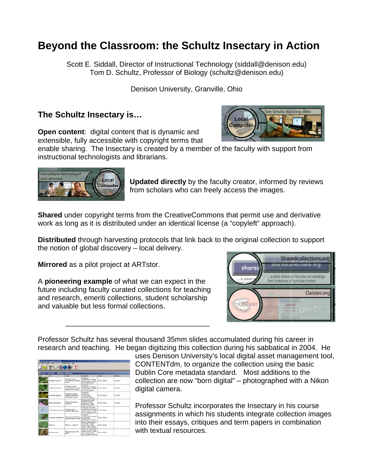## **Beyond the Classroom: the Schultz Insectary in Action**

Scott E. Siddall, Director of Instructional Technology (siddall@denison.edu) Tom D. Schultz, Professor of Biology (schultz@denison.edu)

Denison University, Granville, Ohio

## **The Schultz Insectary is…**

**Open content**: digital content that is dynamic and extensible, fully accessible with copyright terms that

enable sharing. The Insectary is created by a member of the faculty with support from instructional technologists and librarians.

> **Updated directly** by the faculty creator, informed by reviews from scholars who can freely access the images.

**Shared** under copyright terms from the CreativeCommons that permit use and derivative work as long as it is distributed under an identical license (a "copyleft" approach).

**Distributed** through harvesting protocols that link back to the original collection to support the notion of global discovery – local delivery.

**Mirrored** as a pilot project at ARTstor.

A **pioneering example** of what we can expect in the future including faculty curated collections for teaching and research, emeriti collections, student scholarship and valuable but less formal collections.

\_\_\_\_\_\_\_\_\_\_\_\_\_\_\_\_\_\_\_\_\_\_\_\_\_\_\_\_\_\_\_\_\_\_\_\_

Professor Schultz has several thousand 35mm slides accumulated during his career in research and teaching. He began digitizing this collection during his sabbatical in 2004. He

| uses Denison University's local digital asset management tool, |
|----------------------------------------------------------------|
| CONTENTdm, to organize the collection using the basic          |
| Dublin Core metadata standard. Most additions to the           |
| collection are now "born digital" – photographed with a Nikon  |
| digital camera.                                                |

Professor Schultz incorporates the Insectary in his course assignments in which his students integrate collection images into their essays, critiques and term papers in combination with textual resources.

| <b>Current-Insectors Collection-Insectors)</b> |  |                                                                                       |                                                                                                                                    |                 |                  |  |
|------------------------------------------------|--|---------------------------------------------------------------------------------------|------------------------------------------------------------------------------------------------------------------------------------|-----------------|------------------|--|
| <b>Tale</b>                                    |  | Subset                                                                                | <b>Description</b>                                                                                                                 | Country         | <b>FLAM-Page</b> |  |
| Studebrie Raciata (13)                         |  | Southbook forcetal<br>Fork-Falled Bush Katurlet.<br>famale.                           | Orthopberg<br>Tettsprädae: Studderia<br>Furnita, Fernale, Locality:<br>Ohen, Liching Country.                                      | Tom D. Schultz  | 20-Sep-24        |  |
| Scuddenia Russica (2)                          |  | Scutillena Furcata.<br>Fork-taled Bush Katydd.<br><b>Sanake, Hitsel Futup arsain.</b> | Officellata<br>Tettopreidae: Soulderia<br>Furnitis, Female, Liscality;<br>Ohio, Lidano County,                                     | Tues D. Schultz | 20-Sep-04        |  |
| Techniquen disclairse                          |  | Orchelmum gladiator.<br>Gadator Long-homed<br>Gracultoconer, Feinale                  | Orthophanac<br>Tettopradue<br>Constantibilities<br>Orchellmum disdutor.                                                            | Tom D. Schultz  | 12-Sep-04        |  |
| Brando in Inimum Jadius                        |  | Bombue bimaculatus.<br><b>Building</b>                                                | Humanischern: Arichae:<br><b>Bindevan: Bindius</b><br>bisoculatur, female.<br>Locality: Ofte, Lebina                               | Tom D. Schultz  | 12-5m-04         |  |
| Cicinchria togata functions                    |  | Catedrick Installa<br><b>Recovere, New bestle</b>                                     | diameter department<br>Collegheral Carabidian<br>Ciclodela (Dunsta) togata<br>Fascinano Casey, Locality<br>Texas, Hubawith County. | Tom D. Schultz  |                  |  |
| Tatir acques hattropht almost                  |  | Tettracipes febrochtalinus.<br>subvened longhom beetle                                | Colegatoral<br>Conseillunidae: Tatracoes<br>tenughthalms.<br>concentered pair. Locality:                                           | Tom D. Schultz  |                  |  |
| <b>Effers at</b>                               |  | ETHris sp., ridden for                                                                | Dickers: Academic Etheria<br>sp., Female, Locality)<br>Locality: Ohio, Liching<br>County, Union Soundries,<br>Indicates and Income | Tom D. Schultz  |                  |  |
| Photynus punalis                               |  | Huttist peok, feels:<br>beetle                                                        | Coleophera: Langurelan<br>Photinus pyrals, Locality;<br>Ohas, Liching County,                                                      | Tom D. Schultz  |                  |  |